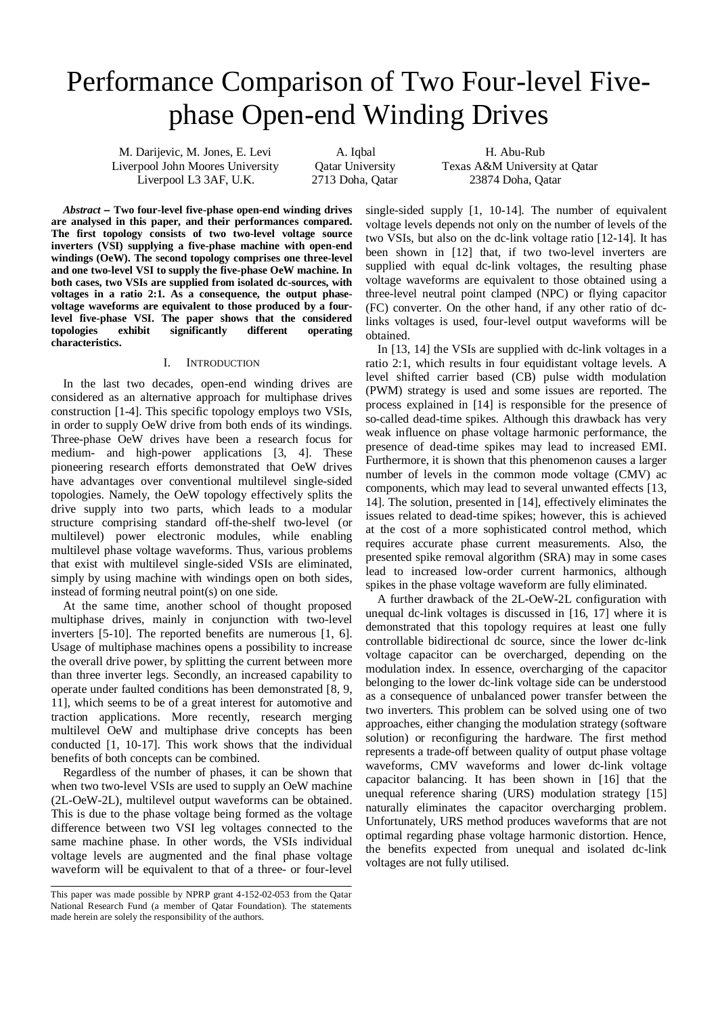# Performance Comparison of Two Four-level Fivephase Open-end Winding Drives

M. Darijevic, M. Jones, E. Levi A. Iqbal H. Abu-Rub<br>
iverpool John Moores University Oatar University Texas A&M Universi Liverpool John Moores University Qatar University Texas A&M University at Qatar Liverpool L3 3AF, U.K. 2713 Doha, Qatar 23874 Doha, Qatar

*Abstract*  **Two four-level five-phase open-end winding drives are analysed in this paper, and their performances compared. The first topology consists of two two-level voltage source inverters (VSI) supplying a five-phase machine with open-end windings (OeW). The second topology comprises one three-level and one two-level VSI to supply the five-phase OeW machine. In both cases, two VSIs are supplied from isolated dc-sources, with voltages in a ratio 2:1. As a consequence, the output phasevoltage waveforms are equivalent to those produced by a fourlevel five-phase VSI. The paper shows that the considered topologies exhibit significantly different operating characteristics.**

# I. INTRODUCTION

In the last two decades, open-end winding drives are considered as an alternative approach for multiphase drives construction [1-4]. This specific topology employs two VSIs, in order to supply OeW drive from both ends of its windings. Three-phase OeW drives have been a research focus for medium- and high-power applications [3, 4]. These pioneering research efforts demonstrated that OeW drives have advantages over conventional multilevel single-sided topologies. Namely, the OeW topology effectively splits the drive supply into two parts, which leads to a modular structure comprising standard off-the-shelf two-level (or multilevel) power electronic modules, while enabling multilevel phase voltage waveforms. Thus, various problems that exist with multilevel single-sided VSIs are eliminated, simply by using machine with windings open on both sides, instead of forming neutral point(s) on one side.

At the same time, another school of thought proposed multiphase drives, mainly in conjunction with two-level inverters [5-10]. The reported benefits are numerous [1, 6]. Usage of multiphase machines opens a possibility to increase the overall drive power, by splitting the current between more than three inverter legs. Secondly, an increased capability to operate under faulted conditions has been demonstrated [8, 9, 11], which seems to be of a great interest for automotive and traction applications. More recently, research merging multilevel OeW and multiphase drive concepts has been conducted [1, 10-17]. This work shows that the individual benefits of both concepts can be combined.

Regardless of the number of phases, it can be shown that when two two-level VSIs are used to supply an OeW machine (2L-OeW-2L), multilevel output waveforms can be obtained. This is due to the phase voltage being formed as the voltage difference between two VSI leg voltages connected to the same machine phase. In other words, the VSIs individual voltage levels are augmented and the final phase voltage waveform will be equivalent to that of a three- or four-level

single-sided supply [1, 10-14]. The number of equivalent voltage levels depends not only on the number of levels of the two VSIs, but also on the dc-link voltage ratio [12-14]. It has been shown in [12] that, if two two-level inverters are supplied with equal dc-link voltages, the resulting phase voltage waveforms are equivalent to those obtained using a three-level neutral point clamped (NPC) or flying capacitor (FC) converter. On the other hand, if any other ratio of dclinks voltages is used, four-level output waveforms will be obtained.

In [13, 14] the VSIs are supplied with dc-link voltages in a ratio 2:1, which results in four equidistant voltage levels. A level shifted carrier based (CB) pulse width modulation (PWM) strategy is used and some issues are reported. The process explained in [14] is responsible for the presence of so-called dead-time spikes. Although this drawback has very weak influence on phase voltage harmonic performance, the presence of dead-time spikes may lead to increased EMI. Furthermore, it is shown that this phenomenon causes a larger number of levels in the common mode voltage (CMV) ac components, which may lead to several unwanted effects [13, 14]. The solution, presented in [14], effectively eliminates the issues related to dead-time spikes; however, this is achieved at the cost of a more sophisticated control method, which requires accurate phase current measurements. Also, the presented spike removal algorithm (SRA) may in some cases lead to increased low-order current harmonics, although spikes in the phase voltage waveform are fully eliminated.

A further drawback of the 2L-OeW-2L configuration with unequal dc-link voltages is discussed in [16, 17] where it is demonstrated that this topology requires at least one fully controllable bidirectional dc source, since the lower dc-link voltage capacitor can be overcharged, depending on the modulation index. In essence, overcharging of the capacitor belonging to the lower dc-link voltage side can be understood as a consequence of unbalanced power transfer between the two inverters. This problem can be solved using one of two approaches, either changing the modulation strategy (software solution) or reconfiguring the hardware. The first method represents a trade-off between quality of output phase voltage waveforms, CMV waveforms and lower dc-link voltage capacitor balancing. It has been shown in [16] that the unequal reference sharing (URS) modulation strategy [15] naturally eliminates the capacitor overcharging problem. Unfortunately, URS method produces waveforms that are not optimal regarding phase voltage harmonic distortion. Hence, the benefits expected from unequal and isolated dc-link voltages are not fully utilised.

This paper was made possible by NPRP grant 4-152-02-053 from the Qatar National Research Fund (a member of Qatar Foundation). The statements made herein are solely the responsibility of the authors.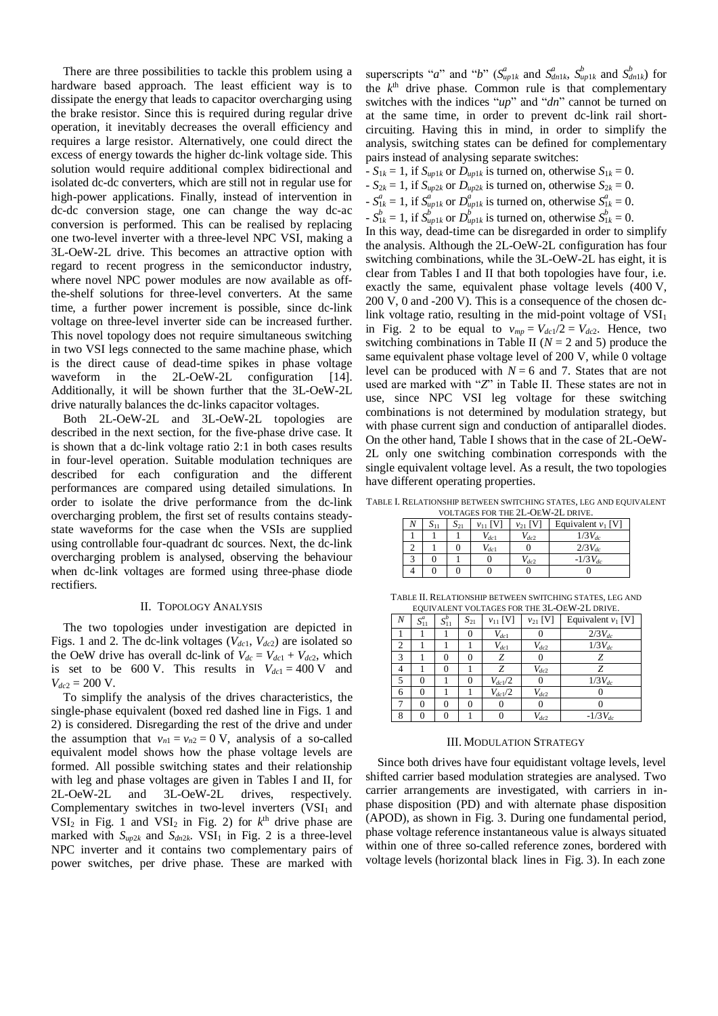There are three possibilities to tackle this problem using a hardware based approach. The least efficient way is to dissipate the energy that leads to capacitor overcharging using the brake resistor. Since this is required during regular drive operation, it inevitably decreases the overall efficiency and requires a large resistor. Alternatively, one could direct the excess of energy towards the higher dc-link voltage side. This solution would require additional complex bidirectional and isolated dc-dc converters, which are still not in regular use for high-power applications. Finally, instead of intervention in dc-dc conversion stage, one can change the way dc-ac conversion is performed. This can be realised by replacing one two-level inverter with a three-level NPC VSI, making a 3L-OeW-2L drive. This becomes an attractive option with regard to recent progress in the semiconductor industry, where novel NPC power modules are now available as offthe-shelf solutions for three-level converters. At the same time, a further power increment is possible, since dc-link voltage on three-level inverter side can be increased further. This novel topology does not require simultaneous switching in two VSI legs connected to the same machine phase, which is the direct cause of dead-time spikes in phase voltage waveform in the 2L-OeW-2L configuration [14]. Additionally, it will be shown further that the 3L-OeW-2L drive naturally balances the dc-links capacitor voltages.

Both 2L-OeW-2L and 3L-OeW-2L topologies are described in the next section, for the five-phase drive case. It is shown that a dc-link voltage ratio 2:1 in both cases results in four-level operation. Suitable modulation techniques are described for each configuration and the different performances are compared using detailed simulations. In order to isolate the drive performance from the dc-link overcharging problem, the first set of results contains steadystate waveforms for the case when the VSIs are supplied using controllable four-quadrant dc sources. Next, the dc-link overcharging problem is analysed, observing the behaviour when dc-link voltages are formed using three-phase diode rectifiers.

# II. TOPOLOGY ANALYSIS

The two topologies under investigation are depicted in Figs. 1 and 2. The dc-link voltages (*Vdc*1, *Vdc*2) are isolated so the OeW drive has overall dc-link of  $V_{dc} = V_{dc1} + V_{dc2}$ , which is set to be 600 V. This results in  $V_{dc1} = 400$  V and  $V_{dc2} = 200$  V.

To simplify the analysis of the drives characteristics, the single-phase equivalent (boxed red dashed line in Figs. 1 and 2) is considered. Disregarding the rest of the drive and under the assumption that  $v_{n1} = v_{n2} = 0$  V, analysis of a so-called equivalent model shows how the phase voltage levels are formed. All possible switching states and their relationship with leg and phase voltages are given in Tables I and II, for 2L-OeW-2L and 3L-OeW-2L drives, respectively. Complementary switches in two-level inverters  $(VSI<sub>1</sub>$  and  $VSI<sub>2</sub>$  in Fig. 1 and  $VSI<sub>2</sub>$  in Fig. 2) for  $k<sup>th</sup>$  drive phase are marked with  $S_{up2k}$  and  $S_{dn2k}$ . VSI<sub>1</sub> in Fig. 2 is a three-level NPC inverter and it contains two complementary pairs of power switches, per drive phase. These are marked with

superscripts "*a*" and "*b*" ( $S_{up1k}^a$  and  $S_{dn1k}^b$ ,  $S_{up1k}^b$  and  $S_{dn1k}^b$ ) for the  $k<sup>th</sup>$  drive phase. Common rule is that complementary switches with the indices "*up*" and "*dn*" cannot be turned on at the same time, in order to prevent dc-link rail shortcircuiting. Having this in mind, in order to simplify the analysis, switching states can be defined for complementary pairs instead of analysing separate switches:

 $-S_{1k} = 1$ , if  $S_{up1k}$  or  $D_{up1k}$  is turned on, otherwise  $S_{1k} = 0$ .  $-S_{2k} = 1$ , if  $S_{\mu p2k}$  or  $D_{\mu p2k}$  is turned on, otherwise  $S_{2k} = 0$ .  $-S_{1k}^a = 1$ , if  $S_{up1k}^a$  or  $D_{up1k}^a$  is turned on, otherwise  $S_{1k}^a = 0$ .  $S_{1k}^{b} = 1$ , if  $S_{up1k}^{b}$  or  $D_{up1k}^{b}$  is turned on, otherwise  $S_{1k}^{b} = 0$ . In this way, dead-time can be disregarded in order to simplify the analysis. Although the 2L-OeW-2L configuration has four switching combinations, while the 3L-OeW-2L has eight, it is clear from Tables I and II that both topologies have four, i.e. exactly the same, equivalent phase voltage levels (400 V, 200 V, 0 and -200 V). This is a consequence of the chosen dclink voltage ratio, resulting in the mid-point voltage of  $VSI<sub>1</sub>$ in Fig. 2 to be equal to  $v_{mp} = V_{dc1}/2 = V_{dc2}$ . Hence, two switching combinations in Table II ( $N = 2$  and 5) produce the same equivalent phase voltage level of 200 V, while 0 voltage level can be produced with  $N = 6$  and 7. States that are not used are marked with "*Z*" in Table II. These states are not in use, since NPC VSI leg voltage for these switching combinations is not determined by modulation strategy, but with phase current sign and conduction of antiparallel diodes. On the other hand, Table I shows that in the case of 2L-OeW-2L only one switching combination corresponds with the single equivalent voltage level. As a result, the two topologies have different operating properties.

TABLE I. RELATIONSHIP BETWEEN SWITCHING STATES, LEG AND EQUIVALENT VOLTAGES FOR THE 2L-OEW-2L DRIVE.

|  | 511 | $S_{21}$ | $v_{11}$ [V] | $v_{21}$ [V] | Equivalent $v_1$ [V] |  |
|--|-----|----------|--------------|--------------|----------------------|--|
|  |     |          | $V_{dc1}$    | $V_{dc2}$    | $1/3V_{dc}$          |  |
|  |     |          | $V_{dc1}$    |              | $2/3V_{dc}$          |  |
|  |     |          |              | $V_{dc2}$    | $-1/3V_{dc}$         |  |
|  |     |          |              |              |                      |  |

TABLE II. RELATIONSHIP BETWEEN SWITCHING STATES, LEG AND EQUIVALENT VOLTAGES FOR THE 3L-OEW-2L DRIVE.

| N | $S_{11}^a$ | $S_{11}^b$ | $S_{21}$ | $v_{11}$ [V] | $v_{21}$ [V] | Equivalent $v_1$ [V] |
|---|------------|------------|----------|--------------|--------------|----------------------|
|   |            |            |          | $V_{dc1}$    |              | $2/3V_{dc}$          |
| 2 |            |            |          | $V_{dc1}$    | $V_{dc2}$    | $1/3V_{dc}$          |
| 3 |            | 0          |          | Ζ            |              | Z                    |
| 4 |            | 0          |          | Z            | $V_{dc2}$    | Z                    |
| 5 | 0          |            | 0        | $V_{dc1}/2$  |              | $1/3V_{dc}$          |
| 6 | 0          |            |          | $V_{dc1}/2$  | $V_{dc2}$    |                      |
| 7 | 0          | 0          |          |              |              |                      |
| 8 |            | 0          |          |              | $V_{dc2}$    | $-1/3V_{dc}$         |

#### III. MODULATION STRATEGY

Since both drives have four equidistant voltage levels, level shifted carrier based modulation strategies are analysed. Two carrier arrangements are investigated, with carriers in inphase disposition (PD) and with alternate phase disposition (APOD), as shown in Fig. 3. During one fundamental period, phase voltage reference instantaneous value is always situated within one of three so-called reference zones, bordered with voltage levels (horizontal black lines in Fig. 3). In each zone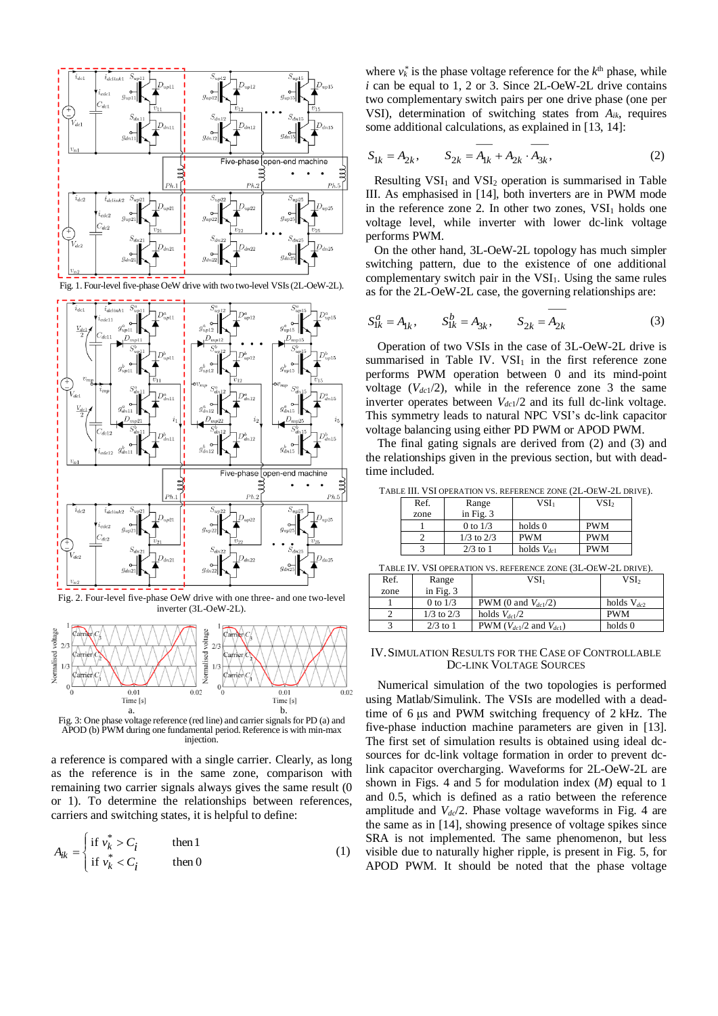

Fig. 1. Four-level five-phase OeW drive with two two-level VSIs(2L-OeW-2L).



Fig. 2. Four-level five-phase OeW drive with one three- and one two-level inverter (3L-OeW-2L).



APOD (b) PWM during one fundamental period. Reference is with min-max injection.

a reference is compared with a single carrier. Clearly, as long as the reference is in the same zone, comparison with remaining two carrier signals always gives the same result (0 or 1). To determine the relationships between references, carriers and switching states, it is helpful to define:

$$
A_{ik} = \begin{cases} \text{if } v_k^* > C_i & \text{then } 1\\ \text{if } v_k^* < C_i & \text{then } 0 \end{cases} \tag{1}
$$

where  $v_k^*$  is the phase voltage reference for the  $k^{\text{th}}$  phase, while *i* can be equal to 1, 2 or 3. Since 2L-OeW-2L drive contains two complementary switch pairs per one drive phase (one per VSI), determination of switching states from *Aik*, requires some additional calculations, as explained in [13, 14]:

$$
S_{1k} = A_{2k}, \qquad S_{2k} = \overline{A_{1k}} + A_{2k} \cdot \overline{A_{3k}}, \tag{2}
$$

Resulting  $VSI_1$  and  $VSI_2$  operation is summarised in Table III. As emphasised in [14], both inverters are in PWM mode in the reference zone 2. In other two zones,  $VSI<sub>1</sub>$  holds one voltage level, while inverter with lower dc-link voltage performs PWM.

On the other hand, 3L-OeW-2L topology has much simpler switching pattern, due to the existence of one additional complementary switch pair in the  $VSI<sub>1</sub>$ . Using the same rules as for the 2L-OeW-2L case, the governing relationships are:

$$
S_{1k}^a = A_{1k}, \qquad S_{1k}^b = A_{3k}, \qquad S_{2k} = A_{2k}
$$
 (3)

Operation of two VSIs in the case of 3L-OeW-2L drive is summarised in Table IV.  $VSI<sub>1</sub>$  in the first reference zone performs PWM operation between 0 and its mind-point voltage  $(V_{dc1}/2)$ , while in the reference zone 3 the same inverter operates between  $V_{dc1}/2$  and its full dc-link voltage. This symmetry leads to natural NPC VSI's dc-link capacitor voltage balancing using either PD PWM or APOD PWM.

The final gating signals are derived from (2) and (3) and the relationships given in the previous section, but with deadtime included.

| Ref. | Range          | VSI <sub>1</sub> | VSI <sub>2</sub> |
|------|----------------|------------------|------------------|
| zone | in Fig. $3$    |                  |                  |
|      | 0 to $1/3$     | holds 0          | <b>PWM</b>       |
|      | $1/3$ to $2/3$ | <b>PWM</b>       | <b>PWM</b>       |
|      | $2/3$ to 1     | holds $V_{dc1}$  | <b>PWM</b>       |

TABLE III. VSI OPERATION VS. REFERENCE ZONE (2L-OEW-2L DRIVE).

TABLE IV. VSI OPERATION VS. REFERENCE ZONE (3L-OEW-2L DRIVE).

| Ref. | Range          | VSI <sub>1</sub>                         | VSI <sub>2</sub> |
|------|----------------|------------------------------------------|------------------|
| zone | in Fig. $3$    |                                          |                  |
|      | 0 to $1/3$     | PWM (0 and $V_{dc1}/2$ )                 | holds $V_{dc2}$  |
|      | $1/3$ to $2/3$ | holds $V_{dc1}/2$                        | <b>PWM</b>       |
| 3    | $2/3$ to 1     | <b>PWM</b> ( $V_{dc1}/2$ and $V_{dc1}$ ) | holds 0          |

#### IV.SIMULATION RESULTS FOR THE CASE OF CONTROLLABLE DC-LINK VOLTAGE SOURCES

Numerical simulation of the two topologies is performed using Matlab/Simulink. The VSIs are modelled with a deadtime of 6 μs and PWM switching frequency of 2 kHz. The five-phase induction machine parameters are given in [13]. The first set of simulation results is obtained using ideal dcsources for dc-link voltage formation in order to prevent dclink capacitor overcharging. Waveforms for 2L-OeW-2L are shown in Figs. 4 and 5 for modulation index (*M*) equal to 1 and 0.5, which is defined as a ratio between the reference amplitude and *Vdc*/2. Phase voltage waveforms in Fig. 4 are the same as in [14], showing presence of voltage spikes since SRA is not implemented. The same phenomenon, but less visible due to naturally higher ripple, is present in Fig. 5, for APOD PWM. It should be noted that the phase voltage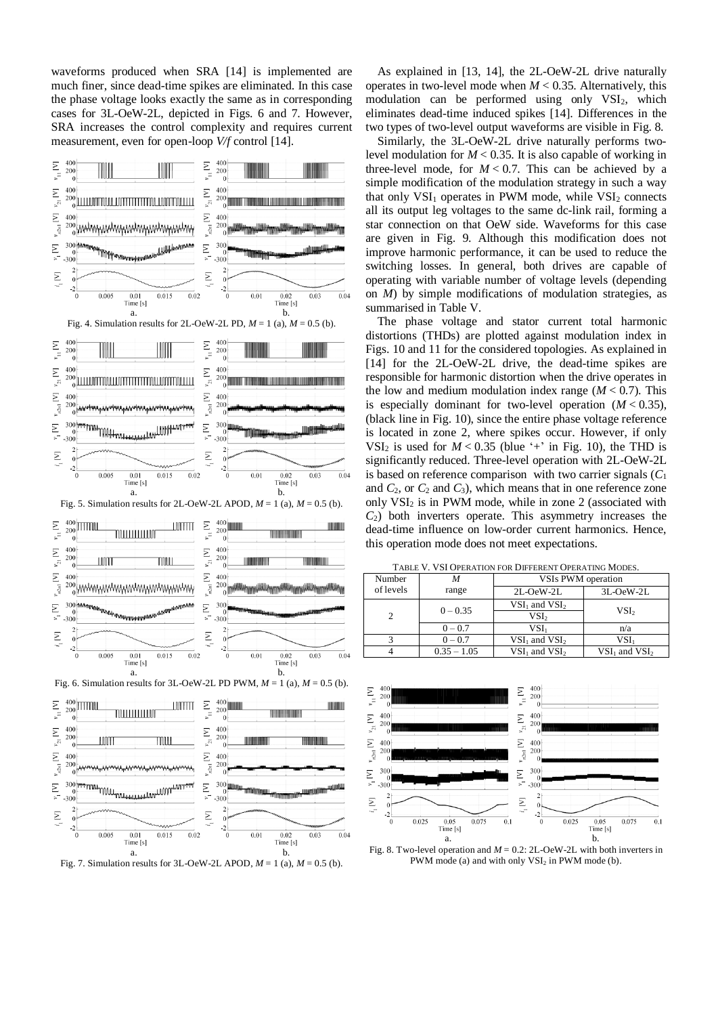waveforms produced when SRA [14] is implemented are much finer, since dead-time spikes are eliminated. In this case the phase voltage looks exactly the same as in corresponding cases for 3L-OeW-2L, depicted in Figs. 6 and 7. However, SRA increases the control complexity and requires current measurement, even for open-loop *V/f* control [14].



Fig. 7. Simulation results for 3L-OeW-2L APOD,  $M = 1$  (a),  $M = 0.5$  (b).

As explained in [13, 14], the 2L-OeW-2L drive naturally operates in two-level mode when  $M < 0.35$ . Alternatively, this modulation can be performed using only  $VSI<sub>2</sub>$ , which eliminates dead-time induced spikes [14]. Differences in the two types of two-level output waveforms are visible in Fig. 8.

Similarly, the 3L-OeW-2L drive naturally performs twolevel modulation for  $M < 0.35$ . It is also capable of working in three-level mode, for  $M < 0.7$ . This can be achieved by a simple modification of the modulation strategy in such a way that only  $VSI_1$  operates in PWM mode, while  $VSI_2$  connects all its output leg voltages to the same dc-link rail, forming a star connection on that OeW side. Waveforms for this case are given in Fig. 9. Although this modification does not improve harmonic performance, it can be used to reduce the switching losses. In general, both drives are capable of operating with variable number of voltage levels (depending on *M*) by simple modifications of modulation strategies, as summarised in Table V.

The phase voltage and stator current total harmonic distortions (THDs) are plotted against modulation index in Figs. 10 and 11 for the considered topologies. As explained in [14] for the 2L-OeW-2L drive, the dead-time spikes are responsible for harmonic distortion when the drive operates in the low and medium modulation index range  $(M < 0.7)$ . This is especially dominant for two-level operation  $(M < 0.35)$ , (black line in Fig. 10), since the entire phase voltage reference is located in zone 2, where spikes occur. However, if only VSI<sub>2</sub> is used for  $M < 0.35$  (blue '+' in Fig. 10), the THD is significantly reduced. Three-level operation with 2L-OeW-2L is based on reference comparison with two carrier signals (*C*<sup>1</sup> and  $C_2$ , or  $C_2$  and  $C_3$ ), which means that in one reference zone only  $VSI<sub>2</sub>$  is in PWM mode, while in zone 2 (associated with *C*2) both inverters operate. This asymmetry increases the dead-time influence on low-order current harmonics. Hence, this operation mode does not meet expectations.

TABLE V. VSI OPERATION FOR DIFFERENT OPERATING MODES.

| Number        | M             | VSIs PWM operation |                   |  |
|---------------|---------------|--------------------|-------------------|--|
| of levels     | range         | $2L-OeW-2L$        | 3L-OeW-2L         |  |
|               | $0 - 0.35$    | $VSI1$ and $VSI2$  | VSI <sub>2</sub>  |  |
| $\mathcal{D}$ |               | VSI <sub>2</sub>   |                   |  |
|               | $0 - 0.7$     | VSI.               | n/a               |  |
|               | $0 - 0.7$     | $VSI1$ and $VSI2$  | VSI1              |  |
|               | $0.35 - 1.05$ | $VSI1$ and $VSI2$  | $VSI1$ and $VSI2$ |  |

 $\mathsf{I}$ 



Fig. 8. Two-level operation and  $M = 0.2$ : 2L-OeW-2L with both inverters in PWM mode (a) and with only  $VSI<sub>2</sub>$  in PWM mode (b).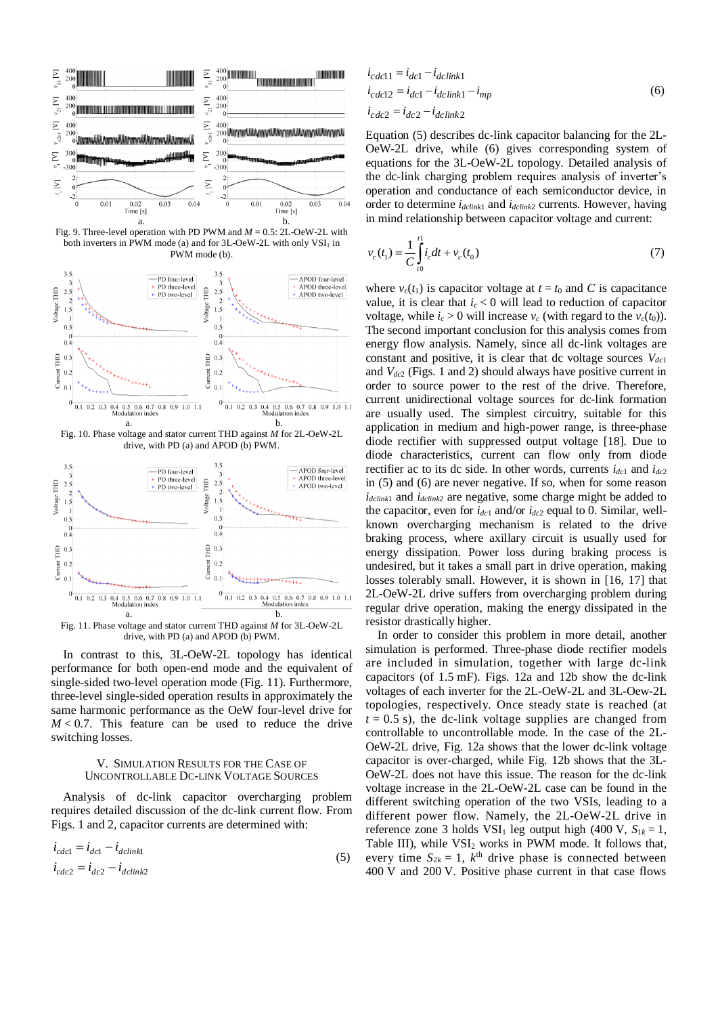

Fig. 9. Three-level operation with PD PWM and *M* = 0.5: 2L-OeW-2L with both inverters in PWM mode (a) and for  $3L$ -OeW-2L with only  $VSI_1$  in PWM mode (b).



 a. b. Fig. 11. Phase voltage and stator current THD against *M* for 3L-OeW-2L drive, with PD (a) and APOD (b) PWM.

In contrast to this, 3L-OeW-2L topology has identical performance for both open-end mode and the equivalent of single-sided two-level operation mode (Fig. 11). Furthermore, three-level single-sided operation results in approximately the same harmonic performance as the OeW four-level drive for  $M < 0.7$ . This feature can be used to reduce the drive switching losses.

#### V. SIMULATION RESULTS FOR THE CASE OF UNCONTROLLABLE DC-LINK VOLTAGE SOURCES

Analysis of dc-link capacitor overcharging problem requires detailed discussion of the dc-link current flow. From Figs. 1 and 2, capacitor currents are determined with:

$$
i_{\text{cdcl}} = i_{\text{dcl}} - i_{\text{dclink1}}
$$
  
\n
$$
i_{\text{cdc2}} = i_{\text{dc2}} - i_{\text{dclink2}}
$$
\n(5)

$$
i_{cdc11} = i_{dc1} - i_{dclink1}
$$
  
\n
$$
i_{cdc12} = i_{dc1} - i_{dclink1} - i_{mp}
$$
  
\n
$$
i_{cdc2} = i_{dc2} - i_{dclink2}
$$
 (6)

Equation (5) describes dc-link capacitor balancing for the 2L-OeW-2L drive, while (6) gives corresponding system of equations for the 3L-OeW-2L topology. Detailed analysis of the dc-link charging problem requires analysis of inverter's operation and conductance of each semiconductor device, in order to determine *idclink*<sup>1</sup> and *idclink*<sup>2</sup> currents. However, having in mind relationship between capacitor voltage and current:

$$
v_c(t_1) = \frac{1}{C} \int_{t_0}^{t_1} i_c dt + v_c(t_0)
$$
\n(7)

where  $v_c(t_1)$  is capacitor voltage at  $t = t_0$  and C is capacitance value, it is clear that  $i_c < 0$  will lead to reduction of capacitor voltage, while  $i_c > 0$  will increase  $v_c$  (with regard to the  $v_c(t_0)$ ). The second important conclusion for this analysis comes from energy flow analysis. Namely, since all dc-link voltages are constant and positive, it is clear that dc voltage sources *Vdc*<sup>1</sup> and *Vdc*<sup>2</sup> (Figs. 1 and 2) should always have positive current in order to source power to the rest of the drive. Therefore, current unidirectional voltage sources for dc-link formation are usually used. The simplest circuitry, suitable for this application in medium and high-power range, is three-phase diode rectifier with suppressed output voltage [18]. Due to diode characteristics, current can flow only from diode rectifier ac to its dc side. In other words, currents  $i_{dc1}$  and  $i_{dc2}$ in (5) and (6) are never negative. If so, when for some reason *idclink*<sup>1</sup> and *idclink*<sup>2</sup> are negative, some charge might be added to the capacitor, even for  $i_{dc1}$  and/or  $i_{dc2}$  equal to 0. Similar, wellknown overcharging mechanism is related to the drive braking process, where axillary circuit is usually used for energy dissipation. Power loss during braking process is undesired, but it takes a small part in drive operation, making losses tolerably small. However, it is shown in [16, 17] that 2L-OeW-2L drive suffers from overcharging problem during regular drive operation, making the energy dissipated in the resistor drastically higher.

In order to consider this problem in more detail, another simulation is performed. Three-phase diode rectifier models are included in simulation, together with large dc-link capacitors (of 1.5 mF). Figs. 12a and 12b show the dc-link voltages of each inverter for the 2L-OeW-2L and 3L-Oew-2L topologies, respectively. Once steady state is reached (at  $t = 0.5$  s), the dc-link voltage supplies are changed from controllable to uncontrollable mode. In the case of the 2L-OeW-2L drive, Fig. 12a shows that the lower dc-link voltage capacitor is over-charged, while Fig. 12b shows that the 3L-OeW-2L does not have this issue. The reason for the dc-link voltage increase in the 2L-OeW-2L case can be found in the different switching operation of the two VSIs, leading to a different power flow. Namely, the 2L-OeW-2L drive in reference zone 3 holds  $VSI_1$  leg output high (400 V,  $S_{1k} = 1$ , Table III), while  $VSI<sub>2</sub>$  works in PWM mode. It follows that, every time  $S_{2k} = 1$ ,  $k^{\text{th}}$  drive phase is connected between 400 V and 200 V. Positive phase current in that case flows